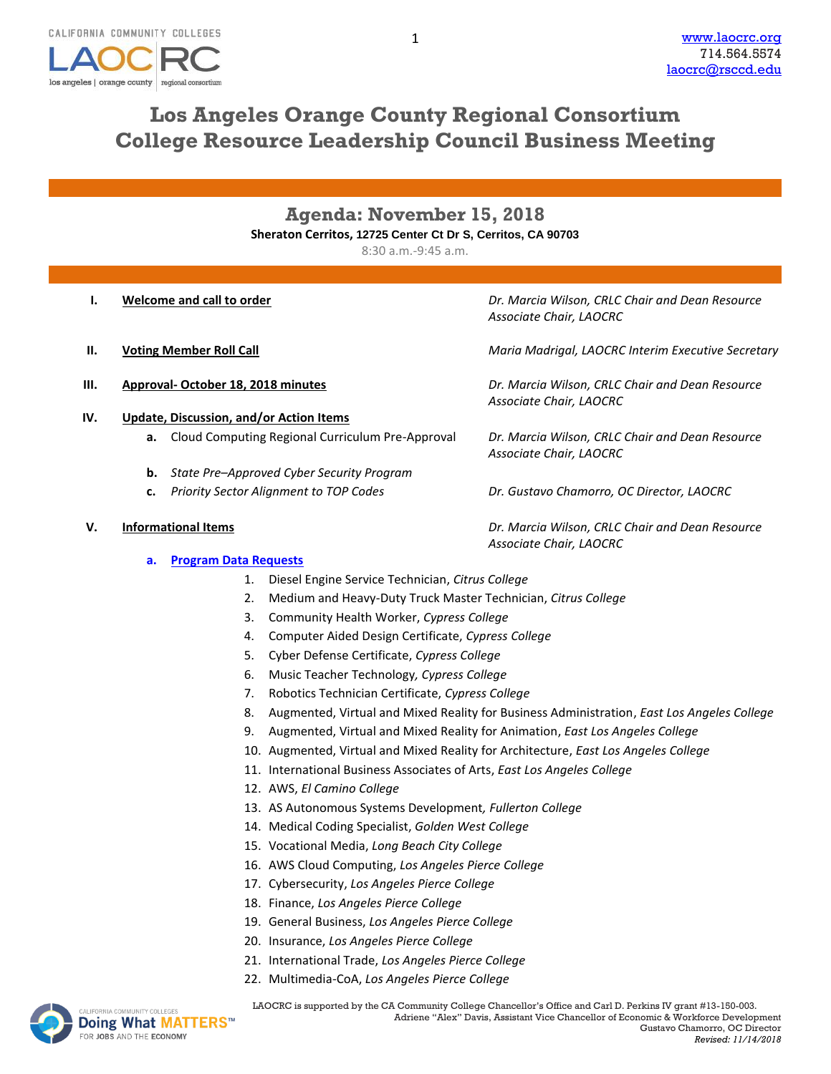

# **Los Angeles Orange County Regional Consortium College Resource Leadership Council Business Meeting**

## **Agenda: November 15, 2018 Sheraton Cerritos, 12725 Center Ct Dr S, Cerritos, CA 90703**

8:30 a.m.-9:45 a.m.

- **I. Welcome and call to order** *Dr. Marcia Wilson, CRLC Chair and Dean Resource*
- **II. Voting Member Roll Call** *Maria Madrigal, LAOCRC Interim Executive Secretary*
- 
- **IV. Update, Discussion, and/or Action Items**
	- **a.** Cloud Computing Regional Curriculum Pre-Approval *Dr. Marcia Wilson, CRLC Chair and Dean Resource*
	- **b.** *State Pre–Approved Cyber Security Program*
	-

**a. [Program Data Requests](http://www.laocrc.org/educators/program-approval/program-intents)**

- *Associate Chair, LAOCRC*
- 

**III. Approval- October 18, 2018 minutes** *Dr. Marcia Wilson, CRLC Chair and Dean Resource Associate Chair, LAOCRC*

*Associate Chair, LAOCRC*

**c.** *Priority Sector Alignment to TOP Codes Dr. Gustavo Chamorro, OC Director, LAOCRC*

**V. Informational Items** *Dr. Marcia Wilson, CRLC Chair and Dean Resource Associate Chair, LAOCRC*

- 1. Diesel Engine Service Technician, *Citrus College*
- 2. Medium and Heavy-Duty Truck Master Technician, *Citrus College*
- 3. Community Health Worker, *Cypress College*
- 4. Computer Aided Design Certificate, *Cypress College*
- 5. Cyber Defense Certificate, *Cypress College*
- 6. Music Teacher Technology*, Cypress College*
- 7. Robotics Technician Certificate, *Cypress College*
- 8. Augmented, Virtual and Mixed Reality for Business Administration, *East Los Angeles College*
- 9. Augmented, Virtual and Mixed Reality for Animation, *East Los Angeles College*
- 10. Augmented, Virtual and Mixed Reality for Architecture, *East Los Angeles College*
- 11. International Business Associates of Arts, *East Los Angeles College*
- 12. AWS, *El Camino College*
- 13. AS Autonomous Systems Development*, Fullerton College*
- 14. Medical Coding Specialist, *Golden West College*
- 15. Vocational Media, *Long Beach City College*
- 16. AWS Cloud Computing, *Los Angeles Pierce College*
- 17. Cybersecurity, *Los Angeles Pierce College*
- 18. Finance, *Los Angeles Pierce College*
- 19. General Business, *Los Angeles Pierce College*
- 20. Insurance, *Los Angeles Pierce College*
- 21. International Trade, *Los Angeles Pierce College*
- 22. Multimedia-CoA, *Los Angeles Pierce College*



MACOMMUNITY COLLEGES **LAOCRC** is supported by the CA Community College Chancellor's Office and Carl D. Perkins IV grant #13-150-003. Adriene "Alex" Davis, Assistant Vice Chancellor of Economic & Workforce Development Gustavo Chamorro, OC Director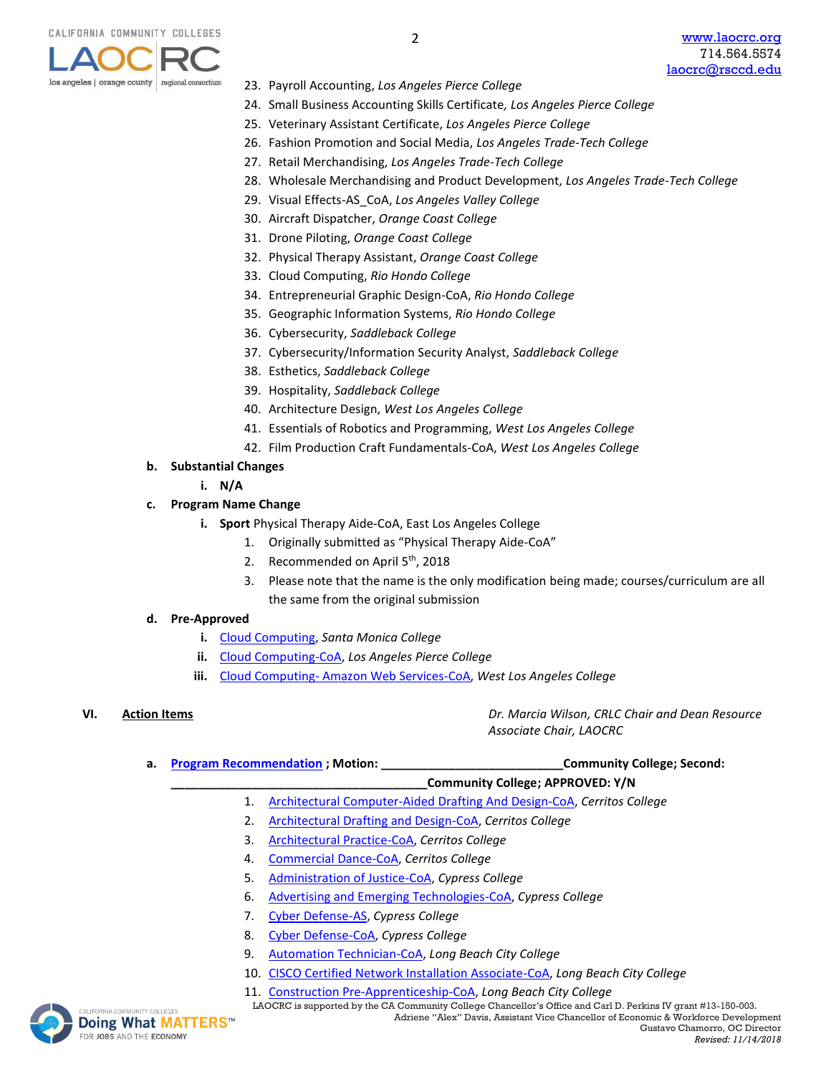

- 23. Payroll Accounting, *Los Angeles Pierce College*
- 24. Small Business Accounting Skills Certificate*, Los Angeles Pierce College*
- 25. Veterinary Assistant Certificate, *Los Angeles Pierce College*

2

- 26. Fashion Promotion and Social Media, *Los Angeles Trade-Tech College*
- 27. Retail Merchandising, *Los Angeles Trade-Tech College*
- 28. Wholesale Merchandising and Product Development, *Los Angeles Trade-Tech College*
- 29. Visual Effects-AS\_CoA, *Los Angeles Valley College*
- 30. Aircraft Dispatcher, *Orange Coast College*
- 31. Drone Piloting, *Orange Coast College*
- 32. Physical Therapy Assistant, *Orange Coast College*
- 33. Cloud Computing, *Rio Hondo College*
- 34. Entrepreneurial Graphic Design-CoA, *Rio Hondo College*
- 35. Geographic Information Systems, *Rio Hondo College*
- 36. Cybersecurity, *Saddleback College*
- 37. Cybersecurity/Information Security Analyst, *Saddleback College*
- 38. Esthetics, *Saddleback College*
- 39. Hospitality, *Saddleback College*
- 40. Architecture Design, *West Los Angeles College*
- 41. Essentials of Robotics and Programming, *West Los Angeles College*
- 42. Film Production Craft Fundamentals-CoA, *West Los Angeles College*

### **b. Substantial Changes**

**i. N/A**

#### **c. Program Name Change**

- **i. Sport** Physical Therapy Aide-CoA, East Los Angeles College
	- 1. Originally submitted as "Physical Therapy Aide-CoA"
	- 2. Recommended on April 5<sup>th</sup>, 2018
	- 3. Please note that the name is the only modification being made; courses/curriculum are all the same from the original submission

#### **d. Pre-Approved**

- **i.** Cloud Computing, *Santa Monica College*
- **ii.** [Cloud Computing-CoA,](https://www.regionalcte.org/browse/3aWWZ) *Los Angeles Pierce College*
- **iii.** Cloud Computing- [Amazon Web Services-CoA,](https://www.regionalcte.org/browse/Zb2lZ) *West Los Angeles College*

**VI. Action Items** *Dr. Marcia Wilson, CRLC Chair and Dean Resource Associate Chair, LAOCRC*

- **a. [Program Recommendation](https://www.regionalcte.org/browse?region=4&status=4&search=&submit=)** ; Motion: **a. 2016 community College; Second:** *new* 
	- **\_\_\_\_\_\_\_\_\_\_\_\_\_\_\_\_\_\_\_\_\_\_\_\_\_\_\_\_\_\_\_\_\_\_\_\_\_\_Community College; APPROVED: Y/N**
	- 1. [Architectural Computer-Aided Drafting And Design-CoA,](https://www.regionalcte.org/browse/K7em4) *Cerritos College*
	- 2. [Architectural Drafting and Design-CoA,](https://www.regionalcte.org/browse/4D8E4) *Cerritos College*
	- 3. [Architectural Practice-CoA,](https://www.regionalcte.org/browse/3X0q3) *Cerritos College*
	- 4. [Commercial Dance-CoA,](https://www.regionalcte.org/browse/4nEJZ) *Cerritos College*
	- 5. [Administration of Justice-CoA,](https://www.regionalcte.org/browse/3N6E3) *Cypress College*
	- 6. [Advertising and Emerging Technologies-CoA,](https://www.regionalcte.org/browse/3QWVZ) *Cypress College*
	- 7. [Cyber Defense-AS,](https://www.regionalcte.org/browse/KeOq4) *Cypress College*
	- 8. [Cyber Defense-CoA,](https://www.regionalcte.org/browse/408b4) *Cypress College*
	- 9. [Automation Technician-CoA,](https://www.regionalcte.org/browse/3aBWK) *Long Beach City College*
	- 10. [CISCO Certified Network Installation Associate-CoA,](https://www.regionalcte.org/browse/3GxYK) *Long Beach City College*
	- 11. [Construction Pre-Apprenticeship-CoA,](https://www.regionalcte.org/browse/3NkEK) *Long Beach City College*

MIACOMMUNITY COLLEGES **LAOCRC** is supported by the CA Community College Chancellor's Office and Carl D. Perkins IV grant #13-150-003. Adriene "Alex" Davis, Assistant Vice Chancellor of Economic & Workforce Development